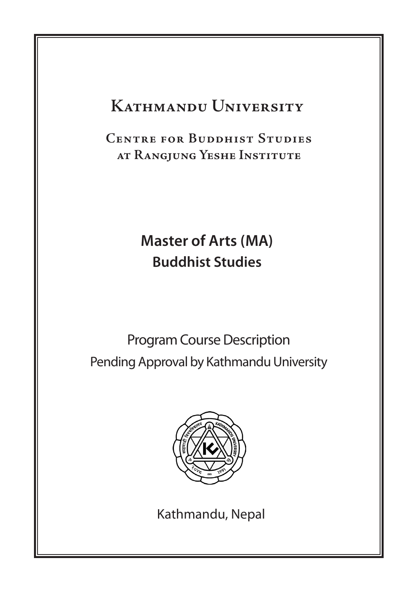# **Kathmandu University**

**Centre for Buddhist Studies at Rangjung Yeshe Institute**

# **Master of Arts (MA) Buddhist Studies**

Program Course Description Pending Approval by Kathmandu University



Kathmandu, Nepal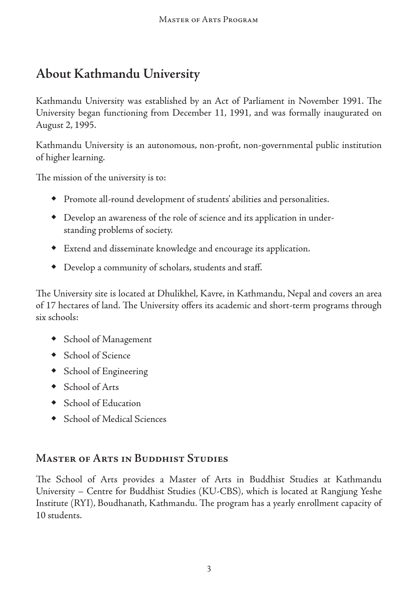# **About Kathmandu University**

Kathmandu University was established by an Act of Parliament in November 1991. The University began functioning from December 11, 1991, and was formally inaugurated on August 2, 1995.

Kathmandu University is an autonomous, non-profit, non-governmental public institution of higher learning.

The mission of the university is to:

- ◆ Promote all-round development of students' abilities and personalities.
- ◆ Develop an awareness of the role of science and its application in under standing problems of society.
- ◆ Extend and disseminate knowledge and encourage its application.
- ◆ Develop a community of scholars, students and staff.

The University site is located at Dhulikhel, Kavre, in Kathmandu, Nepal and covers an area of 17 hectares of land. The University offers its academic and short-term programs through six schools:

- ◆ School of Management
- ◆ School of Science
- ◆ School of Engineering
- ◆ School of Arts
- ◆ School of Education
- ◆ School of Medical Sciences

### **Master of Arts in Buddhist Studies**

The School of Arts provides a Master of Arts in Buddhist Studies at Kathmandu University – Centre for Buddhist Studies (KU-CBS), which is located at Rangjung Yeshe Institute (RYI), Boudhanath, Kathmandu. The program has a yearly enrollment capacity of 10 students.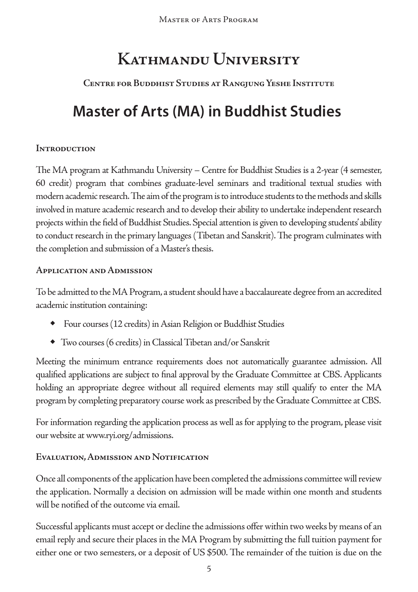Master of Arts Program

# **Kathmandu University**

## **Centre for Buddhist Studies at Rangjung Yeshe Institute**

# **Master of Arts (MA) in Buddhist Studies**

#### **Introduction**

The MA program at Kathmandu University – Centre for Buddhist Studies is a 2-year (4 semester, 60 credit) program that combines graduate-level seminars and traditional textual studies with modern academic research. The aim of the program is to introduce students to the methods and skills involved in mature academic research and to develop their ability to undertake independent research projects within the field of Buddhist Studies. Special attention is given to developing students' ability to conduct research in the primary languages (Tibetan and Sanskrit). The program culminates with the completion and submission of a Master's thesis.

#### **Application and Admission**

To be admitted to the MA Program, a student should have a baccalaureate degree from an accredited academic institution containing:

- ◆ Four courses (12 credits) in Asian Religion or Buddhist Studies
- ◆ Two courses (6 credits) in Classical Tibetan and/or Sanskrit

Meeting the minimum entrance requirements does not automatically guarantee admission. All qualified applications are subject to final approval by the Graduate Committee at CBS. Applicants holding an appropriate degree without all required elements may still qualify to enter the MA program by completing preparatory course work as prescribed by the Graduate Committee at CBS.

For information regarding the application process as well as for applying to the program, please visit our website at www.ryi.org/admissions.

### **Evaluation, Admission and Notification**

Once all components of the application have been completed the admissions committee will review the application. Normally a decision on admission will be made within one month and students will be notified of the outcome via email.

Successful applicants must accept or decline the admissions offer within two weeks by means of an email reply and secure their places in the MA Program by submitting the full tuition payment for either one or two semesters, or a deposit of US \$500. The remainder of the tuition is due on the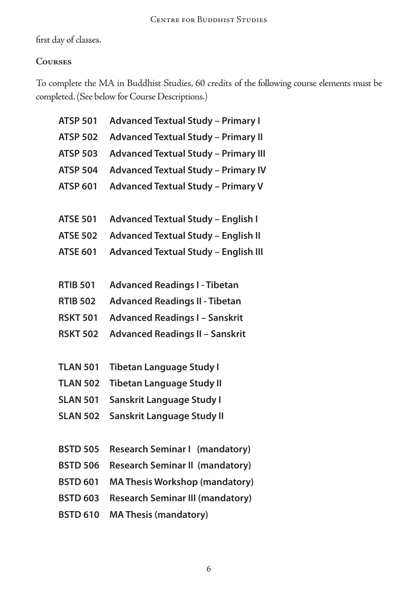first day of classes.

### **Courses**

To complete the MA in Buddhist Studies, 60 credits of the following course elements must be completed. (See below for Course Descriptions.)

| <b>ATSP 501</b> | <b>Advanced Textual Study - Primary I</b>   |
|-----------------|---------------------------------------------|
| <b>ATSP 502</b> | <b>Advanced Textual Study - Primary II</b>  |
| <b>ATSP 503</b> | <b>Advanced Textual Study - Primary III</b> |
| <b>ATSP 504</b> | <b>Advanced Textual Study - Primary IV</b>  |
| <b>ATSP 601</b> | <b>Advanced Textual Study - Primary V</b>   |
|                 |                                             |
| <b>ATSE 501</b> | <b>Advanced Textual Study - English I</b>   |
| <b>ATSE 502</b> | <b>Advanced Textual Study - English II</b>  |
| <b>ATSE 601</b> | <b>Advanced Textual Study - English III</b> |
|                 |                                             |
| <b>RTIB 501</b> | <b>Advanced Readings I - Tibetan</b>        |
| <b>RTIB 502</b> | <b>Advanced Readings II - Tibetan</b>       |
| <b>RSKT 501</b> | <b>Advanced Readings I - Sanskrit</b>       |
| <b>RSKT 502</b> | <b>Advanced Readings II - Sanskrit</b>      |
|                 |                                             |
| <b>TLAN 501</b> | <b>Tibetan Language Study I</b>             |
| <b>TLAN 502</b> | <b>Tibetan Language Study II</b>            |
| <b>SLAN 501</b> | Sanskrit Language Study I                   |
| <b>SLAN 502</b> | Sanskrit Language Study II                  |
|                 |                                             |
| <b>BSTD 505</b> | <b>Research Seminar I (mandatory)</b>       |
| <b>BSTD 506</b> | <b>Research Seminar II (mandatory)</b>      |
| <b>BSTD 601</b> | <b>MA Thesis Workshop (mandatory)</b>       |
| <b>BSTD 603</b> | <b>Research Seminar III (mandatory)</b>     |
| <b>BSTD 610</b> | <b>MA Thesis (mandatory)</b>                |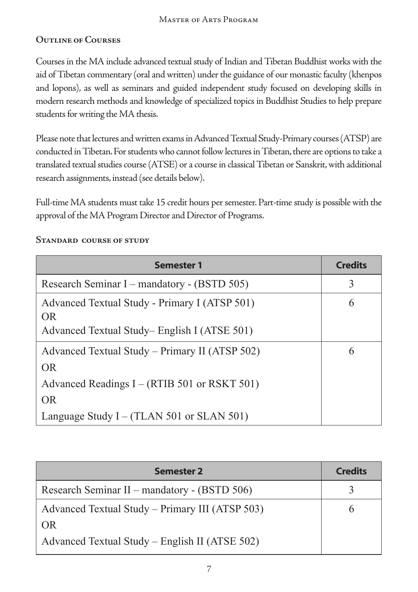### **Outline of Courses**

Courses in the MA include advanced textual study of Indian and Tibetan Buddhist works with the aid of Tibetan commentary (oral and written) under the guidance of our monastic faculty (khenpos and lopons), as well as seminars and guided independent study focused on developing skills in modern research methods and knowledge of specialized topics in Buddhist Studies to help prepare students for writing the MA thesis.

Please note that lectures and written exams in Advanced Textual Study-Primary courses (ATSP) are conducted in Tibetan. For students who cannot follow lectures in Tibetan, there are options to take a translated textual studies course (ATSE) or a course in classical Tibetan or Sanskrit, with additional research assignments, instead (see details below).

Full-time MA students must take 15 credit hours per semester. Part-time study is possible with the approval of the MA Program Director and Director of Programs.

#### **Standard course of study**

| <b>Semester 1</b>                                                                                            | <b>Credits</b> |
|--------------------------------------------------------------------------------------------------------------|----------------|
| Research Seminar I – mandatory - (BSTD 505)                                                                  | 3              |
| Advanced Textual Study - Primary I (ATSP 501)<br>OR.<br>Advanced Textual Study–English I (ATSE 501)          | 6              |
| Advanced Textual Study – Primary II (ATSP 502)<br>OR.<br>Advanced Readings I – (RTIB 501 or RSKT 501)<br>OR. | 6              |
| Language Study $I - (TLAN 501$ or SLAN 501)                                                                  |                |

| <b>Semester 2</b>                               | <b>Credits</b> |
|-------------------------------------------------|----------------|
| Research Seminar II – mandatory - (BSTD 506)    |                |
| Advanced Textual Study – Primary III (ATSP 503) | h              |
| OR.                                             |                |
| Advanced Textual Study – English II (ATSE 502)  |                |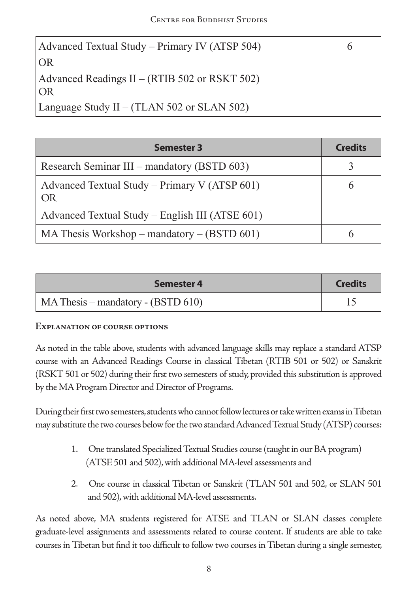| Advanced Textual Study – Primary IV (ATSP 504)      |  |
|-----------------------------------------------------|--|
| OR                                                  |  |
| Advanced Readings II – (RTIB 502 or RSKT 502)<br>OR |  |
| Language Study II – (TLAN 502 or SLAN 502)          |  |

| <b>Semester 3</b>                                          | <b>Credits</b> |
|------------------------------------------------------------|----------------|
| Research Seminar III – mandatory (BSTD 603)                |                |
| Advanced Textual Study – Primary V (ATSP 601)<br><b>OR</b> | 6              |
| Advanced Textual Study – English III (ATSE 601)            |                |
| MA Thesis Workshop – mandatory – $(BSTD 601)$              |                |

| Semester 4                           | <b>Credits</b> |  |
|--------------------------------------|----------------|--|
| $MA Thesis - mandatory - (BSTD 610)$ |                |  |

#### **Explanation of course options**

As noted in the table above, students with advanced language skills may replace a standard ATSP course with an Advanced Readings Course in classical Tibetan (RTIB 501 or 502) or Sanskrit (RSKT 501 or 502) during their first two semesters of study, provided this substitution is approved by the MA Program Director and Director of Programs.

During their first two semesters, students who cannot follow lectures or take written exams in Tibetan may substitute the two courses below for the two standard Advanced Textual Study (ATSP) courses:

- 1. One translated Specialized Textual Studies course (taught in our BA program) (ATSE 501 and 502), with additional MA-level assessments and
- 2. One course in classical Tibetan or Sanskrit (TLAN 501 and 502, or SLAN 501 and 502), with additional MA-level assessments.

As noted above, MA students registered for ATSE and TLAN or SLAN classes complete graduate-level assignments and assessments related to course content. If students are able to take courses in Tibetan but find it too difficult to follow two courses in Tibetan during a single semester,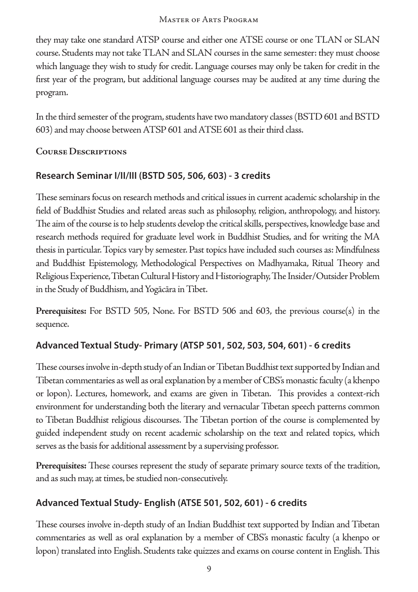they may take one standard ATSP course and either one ATSE course or one TLAN or SLAN course. Students may not take TLAN and SLAN courses in the same semester: they must choose which language they wish to study for credit. Language courses may only be taken for credit in the first year of the program, but additional language courses may be audited at any time during the program.

In the third semester of the program, students have two mandatory classes (BSTD 601 and BSTD 603) and may choose between ATSP 601 and ATSE 601 as their third class.

#### **Course Descriptions**

## **Research Seminar I/II/III (BSTD 505, 506, 603) - 3 credits**

These seminars focus on research methods and critical issues in current academic scholarship in the field of Buddhist Studies and related areas such as philosophy, religion, anthropology, and history. The aim of the course is to help students develop the critical skills, perspectives, knowledge base and research methods required for graduate level work in Buddhist Studies, and for writing the MA thesis in particular. Topics vary by semester. Past topics have included such courses as: Mindfulness and Buddhist Epistemology, Methodological Perspectives on Madhyamaka, Ritual Theory and Religious Experience, Tibetan Cultural History and Historiography, The Insider/Outsider Problem in the Study of Buddhism, and Yogācāra in Tibet.

**Prerequisites:** For BSTD 505, None. For BSTD 506 and 603, the previous course(s) in the sequence.

## **Advanced Textual Study- Primary (ATSP 501, 502, 503, 504, 601) - 6 credits**

These courses involve in-depth study of an Indian or Tibetan Buddhist text supported by Indian and Tibetan commentaries as well as oral explanation by a member of CBS's monastic faculty (a khenpo or lopon). Lectures, homework, and exams are given in Tibetan. This provides a context-rich environment for understanding both the literary and vernacular Tibetan speech patterns common to Tibetan Buddhist religious discourses. The Tibetan portion of the course is complemented by guided independent study on recent academic scholarship on the text and related topics, which serves as the basis for additional assessment by a supervising professor.

**Prerequisites:** These courses represent the study of separate primary source texts of the tradition, and as such may, at times, be studied non-consecutively.

## **Advanced Textual Study- English (ATSE 501, 502, 601) - 6 credits**

These courses involve in-depth study of an Indian Buddhist text supported by Indian and Tibetan commentaries as well as oral explanation by a member of CBS's monastic faculty (a khenpo or lopon) translated into English. Students take quizzes and exams on course content in English. This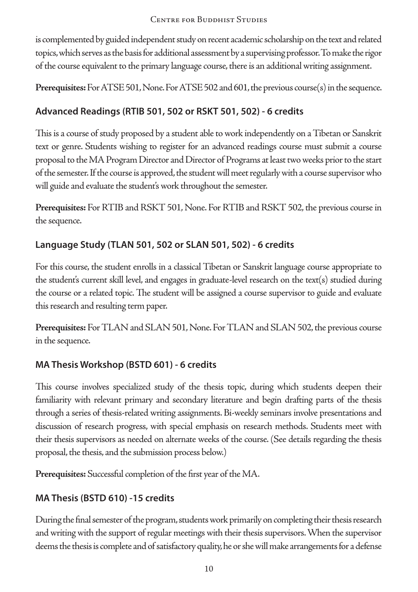is complemented by guided independent study on recent academic scholarship on the text and related topics, which serves as the basis for additional assessment by a supervising professor. To make the rigor of the course equivalent to the primary language course, there is an additional writing assignment.

**Prerequisites:** For ATSE 501, None. For ATSE 502 and 601, the previous course(s) in the sequence.

### **Advanced Readings (RTIB 501, 502 or RSKT 501, 502) - 6 credits**

This is a course of study proposed by a student able to work independently on a Tibetan or Sanskrit text or genre. Students wishing to register for an advanced readings course must submit a course proposal to the MA Program Director and Director of Programs at least two weeks prior to the start of the semester. If the course is approved, the student will meet regularly with a course supervisor who will guide and evaluate the student's work throughout the semester.

**Prerequisites:** For RTIB and RSKT 501, None. For RTIB and RSKT 502, the previous course in the sequence.

### **Language Study (TLAN 501, 502 or SLAN 501, 502) - 6 credits**

For this course, the student enrolls in a classical Tibetan or Sanskrit language course appropriate to the student's current skill level, and engages in graduate-level research on the text(s) studied during the course or a related topic. The student will be assigned a course supervisor to guide and evaluate this research and resulting term paper.

**Prerequisites:** For TLAN and SLAN 501, None. For TLAN and SLAN 502, the previous course in the sequence.

### **MA Thesis Workshop (BSTD 601) - 6 credits**

This course involves specialized study of the thesis topic, during which students deepen their familiarity with relevant primary and secondary literature and begin drafting parts of the thesis through a series of thesis-related writing assignments. Bi-weekly seminars involve presentations and discussion of research progress, with special emphasis on research methods. Students meet with their thesis supervisors as needed on alternate weeks of the course. (See details regarding the thesis proposal, the thesis, and the submission process below.)

**Prerequisites:** Successful completion of the first year of the MA.

## **MA Thesis (BSTD 610) -15 credits**

During the final semester of the program, students work primarily on completing their thesis research and writing with the support of regular meetings with their thesis supervisors. When the supervisor deems the thesis is complete and of satisfactory quality, he or she will make arrangements for a defense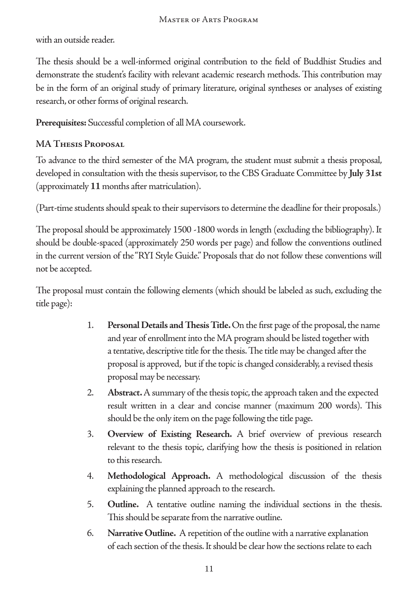with an outside reader.

The thesis should be a well-informed original contribution to the field of Buddhist Studies and demonstrate the student's facility with relevant academic research methods. This contribution may be in the form of an original study of primary literature, original syntheses or analyses of existing research, or other forms of original research.

**Prerequisites:** Successful completion of all MA coursework.

## **MA Thesis Proposal**

To advance to the third semester of the MA program, the student must submit a thesis proposal, developed in consultation with the thesis supervisor, to the CBS Graduate Committee by **July 31st**  (approximately **11** months after matriculation).

(Part-time students should speak to their supervisors to determine the deadline for their proposals.)

The proposal should be approximately 1500 -1800 words in length (excluding the bibliography). It should be double-spaced (approximately 250 words per page) and follow the conventions outlined in the current version of the "RYI Style Guide." Proposals that do not follow these conventions will not be accepted.

The proposal must contain the following elements (which should be labeled as such, excluding the title page):

- 1. **Personal Details and Thesis Title.** On the first page of the proposal, the name and year of enrollment into the MA program should be listed together with a tentative, descriptive title for the thesis. The title may be changed after the proposal is approved, but if the topic is changed considerably, a revised thesis proposal may be necessary.
- 2. **Abstract.** A summary of the thesis topic, the approach taken and the expected result written in a clear and concise manner (maximum 200 words). This should be the only item on the page following the title page.
- 3. **Overview of Existing Research.** A brief overview of previous research relevant to the thesis topic, clarifying how the thesis is positioned in relation to this research.
- 4. **Methodological Approach.** A methodological discussion of the thesis explaining the planned approach to the research.
- 5. **Outline.** A tentative outline naming the individual sections in the thesis. This should be separate from the narrative outline.
- 6. **Narrative Outline.** A repetition of the outline with a narrative explanation of each section of the thesis. It should be clear how the sections relate to each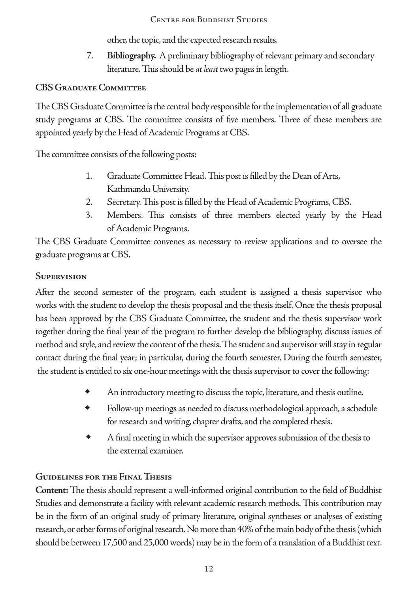other, the topic, and the expected research results.

7. **Bibliography.** A preliminary bibliography of relevant primary and secondary literature. This should be *at least* two pages in length.

## **CBS Graduate Committee**

The CBS Graduate Committee is the central body responsible for the implementation of all graduate study programs at CBS. The committee consists of five members. Three of these members are appointed yearly by the Head of Academic Programs at CBS.

The committee consists of the following posts:

- 1. Graduate Committee Head. This post is filled by the Dean of Arts, Kathmandu University.
- 2. Secretary. This post is filled by the Head of Academic Programs, CBS.
- 3. Members. This consists of three members elected yearly by the Head of Academic Programs.

The CBS Graduate Committee convenes as necessary to review applications and to oversee the graduate programs at CBS.

#### **Supervision**

After the second semester of the program, each student is assigned a thesis supervisor who works with the student to develop the thesis proposal and the thesis itself. Once the thesis proposal has been approved by the CBS Graduate Committee, the student and the thesis supervisor work together during the final year of the program to further develop the bibliography, discuss issues of method and style, and review the content of the thesis. The student and supervisor will stay in regular contact during the final year; in particular, during the fourth semester. During the fourth semester, the student is entitled to six one-hour meetings with the thesis supervisor to cover the following:

- An introductory meeting to discuss the topic, literature, and thesis outline.
- ◆ Follow-up meetings as needed to discuss methodological approach, a schedule for research and writing, chapter drafts, and the completed thesis.
- ◆ A final meeting in which the supervisor approves submission of the thesis to the external examiner.

## **Guidelines for the Final Thesis**

**Content:** The thesis should represent a well-informed original contribution to the field of Buddhist Studies and demonstrate a facility with relevant academic research methods. This contribution may be in the form of an original study of primary literature, original syntheses or analyses of existing research, or other forms of original research. No more than 40% of the main body of the thesis (which should be between 17,500 and 25,000 words) may be in the form of a translation of a Buddhist text.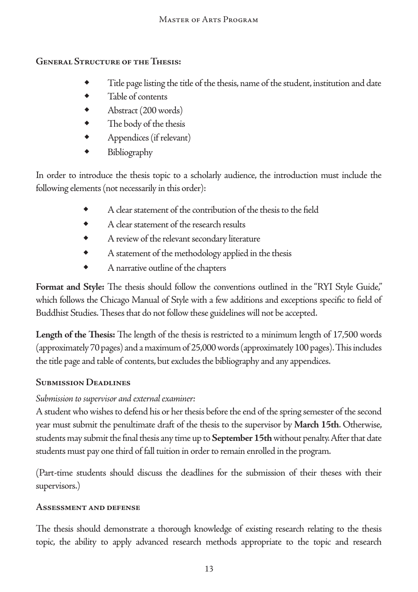### **General Structure of the Thesis:**

- Title page listing the title of the thesis, name of the student, institution and date
- Table of contents
- ◆ Abstract (200 words)
- ◆ The body of the thesis
- ◆ Appendices (if relevant)
- **Bibliography**

In order to introduce the thesis topic to a scholarly audience, the introduction must include the following elements (not necessarily in this order):

- A clear statement of the contribution of the thesis to the field
- A clear statement of the research results
- A review of the relevant secondary literature
- ◆ A statement of the methodology applied in the thesis
- ◆ A narrative outline of the chapters

**Format and Style:** The thesis should follow the conventions outlined in the "RYI Style Guide," which follows the Chicago Manual of Style with a few additions and exceptions specific to field of Buddhist Studies. Theses that do not follow these guidelines will not be accepted.

**Length of the Thesis:** The length of the thesis is restricted to a minimum length of 17,500 words (approximately 70 pages) and a maximum of 25,000 words (approximately 100 pages). This includes the title page and table of contents, but excludes the bibliography and any appendices.

## **Submission Deadlines**

## *Submission to supervisor and external examiner:*

A student who wishes to defend his or her thesis before the end of the spring semester of the second year must submit the penultimate draft of the thesis to the supervisor by **March 15th**. Otherwise, students may submit the final thesis any time up to **September 15th** without penalty. After that date students must pay one third of fall tuition in order to remain enrolled in the program.

(Part-time students should discuss the deadlines for the submission of their theses with their supervisors.)

### **Assessment and defense**

The thesis should demonstrate a thorough knowledge of existing research relating to the thesis topic, the ability to apply advanced research methods appropriate to the topic and research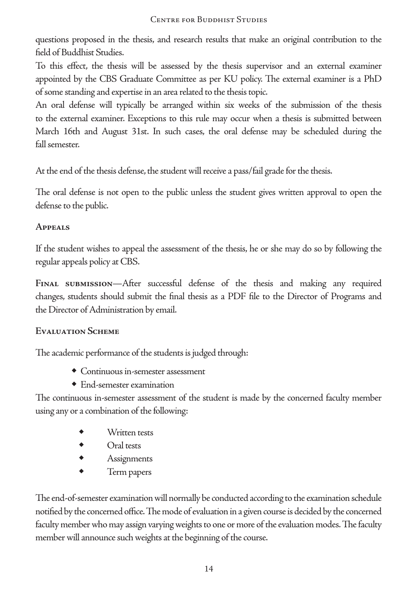questions proposed in the thesis, and research results that make an original contribution to the field of Buddhist Studies.

To this effect, the thesis will be assessed by the thesis supervisor and an external examiner appointed by the CBS Graduate Committee as per KU policy. The external examiner is a PhD of some standing and expertise in an area related to the thesis topic.

An oral defense will typically be arranged within six weeks of the submission of the thesis to the external examiner. Exceptions to this rule may occur when a thesis is submitted between March 16th and August 31st. In such cases, the oral defense may be scheduled during the fall semester.

At the end of the thesis defense, the student will receive a pass/fail grade for the thesis.

The oral defense is not open to the public unless the student gives written approval to open the defense to the public.

#### **Appeals**

If the student wishes to appeal the assessment of the thesis, he or she may do so by following the regular appeals policy at CBS.

**Final submission**—After successful defense of the thesis and making any required changes, students should submit the final thesis as a PDF file to the Director of Programs and the Director of Administration by email.

#### **Evaluation Scheme**

The academic performance of the students is judged through:

- ◆ Continuous in-semester assessment
- ◆ End-semester examination

The continuous in-semester assessment of the student is made by the concerned faculty member using any or a combination of the following:

- ◆ Written tests
- Oral tests
- ◆ Assignments
- ◆ Term papers

The end-of-semester examination will normally be conducted according to the examination schedule notified by the concerned office. The mode of evaluation in a given course is decided by the concerned faculty member who may assign varying weights to one or more of the evaluation modes. The faculty member will announce such weights at the beginning of the course.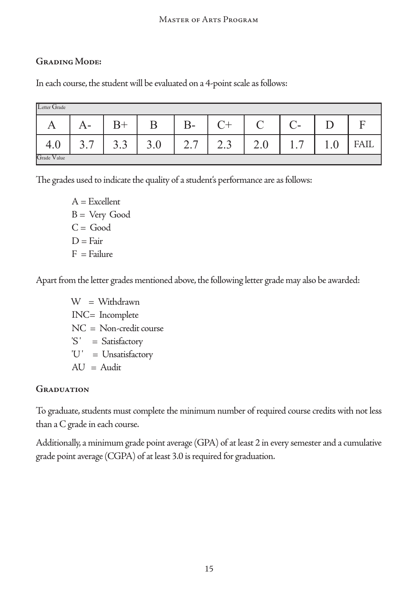#### Master of Arts Program

#### **Grading Mode:**

In each course, the student will be evaluated on a 4-point scale as follows:

| Letter Grade |                        |          |     |                                |            |     |                          |         |             |
|--------------|------------------------|----------|-----|--------------------------------|------------|-----|--------------------------|---------|-------------|
| A            | $A-$                   | $B+$     | B   | $B-$                           |            |     | $\overline{\phantom{a}}$ |         | ┳           |
| 4.U          | $\overline{ }$<br>ر. ر | ⌒<br>3.3 | J.V | $\overline{ }$<br>$\sim$<br>∸… | r<br>ر . ب | ∠.∪ | . .                      | $\cdot$ | <b>FAIL</b> |
| Grade Value  |                        |          |     |                                |            |     |                          |         |             |

The grades used to indicate the quality of a student's performance are as follows:

 $A =$  Excellent  $B = Very$  Good  $C = Good$  $D = F<sub>air</sub>$  $F =$  Failure

Apart from the letter grades mentioned above, the following letter grade may also be awarded:

 $W = W$ ithdrawn INC= Incomplete NC = Non-credit course 'S' = Satisfactory 'U' = Unsatisfactory  $AU =$  Audit

#### **Graduation**

To graduate, students must complete the minimum number of required course credits with not less than a C grade in each course.

Additionally, a minimum grade point average (GPA) of at least 2 in every semester and a cumulative grade point average (CGPA) of at least 3.0 is required for graduation.